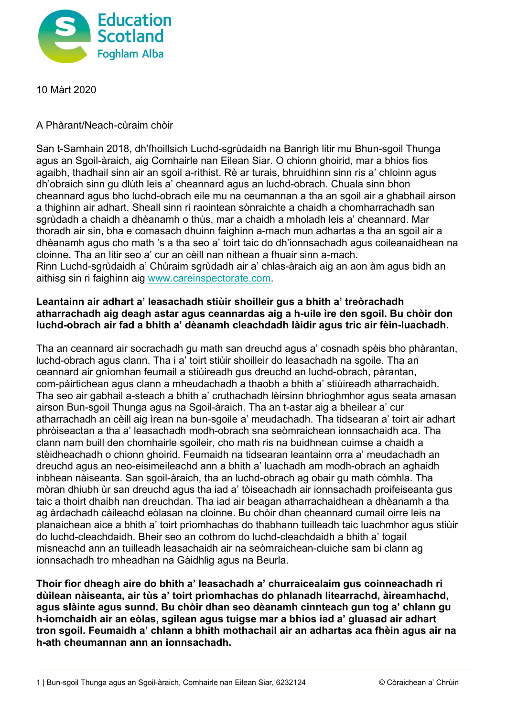

10 Màrt 2020

## A Phàrant/Neach-cùraim chòir

San t-Samhain 2018, dh'fhoillsich Luchd-sgrùdaidh na Banrigh litir mu Bhun-sgoil Thunga agus an Sgoil-àraich, aig Comhairle nan Eilean Siar. O chionn ghoirid, mar a bhios fios agaibh, thadhail sinn air an sgoil a-rithist. Rè ar turais, bhruidhinn sinn ris a' chloinn agus dh'obraich sinn gu dlùth leis a' cheannard agus an luchd-obrach. Chuala sinn bhon cheannard agus bho luchd-obrach eile mu na ceumannan a tha an sgoil air a ghabhail airson a thighinn air adhart. Sheall sinn ri raointean sònraichte a chaidh a chomharrachadh san sgrùdadh a chaidh a dhèanamh o thùs, mar a chaidh a mholadh leis a' cheannard. Mar thoradh air sin, bha e comasach dhuinn faighinn a-mach mun adhartas a tha an sgoil air a dhèanamh agus cho math 's a tha seo a' toirt taic do dh'ionnsachadh agus coileanaidhean na cloinne. Tha an litir seo a' cur an cèill nan nithean a fhuair sinn a-mach. Rinn Luchd-sgrùdaidh a' Chùraim sgrùdadh air a' chlas-àraich aig an aon àm agus bidh an aithisg sin ri faighinn aig www.careinspectorate.com.

## **Leantainn air adhart a' leasachadh stiùir shoilleir gus a bhith a' treòrachadh atharrachadh aig deagh astar agus ceannardas aig a h-uile ìre den sgoil. Bu chòir don luchd-obrach air fad a bhith a' dèanamh cleachdadh làidir agus tric air fèin-luachadh.**

Tha an ceannard air socrachadh gu math san dreuchd agus a' cosnadh spèis bho phàrantan, luchd-obrach agus clann. Tha i a' toirt stiùir shoilleir do leasachadh na sgoile. Tha an ceannard air gnìomhan feumail a stiùireadh gus dreuchd an luchd-obrach, pàrantan, com-pàirtichean agus clann a mheudachadh a thaobh a bhith a' stiùireadh atharrachaidh. Tha seo air gabhail a-steach a bhith a' cruthachadh lèirsinn bhrìoghmhor agus seata amasan airson Bun-sgoil Thunga agus na Sgoil-àraich. Tha an t-astar aig a bheilear a' cur atharrachadh an cèill aig ìrean na bun-sgoile a' meudachadh. Tha tidsearan a' toirt air adhart phròiseactan a tha a' leasachadh modh-obrach sna seòmraichean ionnsachaidh aca. Tha clann nam buill den chomhairle sgoileir, cho math ris na buidhnean cuimse a chaidh a stèidheachadh o chionn ghoirid. Feumaidh na tidsearan leantainn orra a' meudachadh an dreuchd agus an neo-eisimeileachd ann a bhith a' luachadh am modh-obrach an aghaidh inbhean nàiseanta. San sgoil-àraich, tha an luchd-obrach ag obair gu math còmhla. Tha mòran dhiubh ùr san dreuchd agus tha iad a' tòiseachadh air ionnsachadh proifeiseanta gus taic a thoirt dhaibh nan dreuchdan. Tha iad air beagan atharrachaidhean a dhèanamh a tha ag àrdachadh càileachd eòlasan na cloinne. Bu chòir dhan cheannard cumail oirre leis na planaichean aice a bhith a' toirt prìomhachas do thabhann tuilleadh taic luachmhor agus stiùir do luchd-cleachdaidh. Bheir seo an cothrom do luchd-cleachdaidh a bhith a' togail misneachd ann an tuilleadh leasachaidh air na seòmraichean-cluiche sam bi clann ag ionnsachadh tro mheadhan na Gàidhlig agus na Beurla.

**Thoir fìor dheagh aire do bhith a' leasachadh a' churraicealaim gus coinneachadh ri dùilean nàiseanta, air tùs a' toirt prìomhachas do phlanadh litearrachd, àireamhachd, agus slàinte agus sunnd. Bu chòir dhan seo dèanamh cinnteach gun tog a' chlann gu h-iomchaidh air an eòlas, sgilean agus tuigse mar a bhios iad a' gluasad air adhart tron sgoil. Feumaidh a' chlann a bhith mothachail air an adhartas aca fhèin agus air na h-ath cheumannan ann an ionnsachadh.**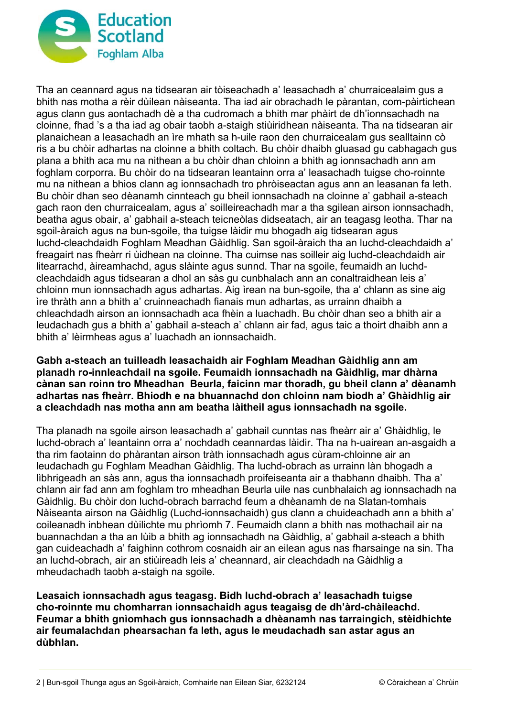

Tha an ceannard agus na tidsearan air tòiseachadh a' leasachadh a' churraicealaim gus a bhith nas motha a rèir dùilean nàiseanta. Tha iad air obrachadh le pàrantan, com-pàirtichean agus clann gus aontachadh dè a tha cudromach a bhith mar phàirt de dh'ionnsachadh na cloinne, fhad 's a tha iad ag obair taobh a-staigh stiùiridhean nàiseanta. Tha na tidsearan air planaichean a leasachadh an ìre mhath sa h-uile raon den churraicealam gus sealltainn cò ris a bu chòir adhartas na cloinne a bhith coltach. Bu chòir dhaibh gluasad gu cabhagach gus plana a bhith aca mu na nithean a bu chòir dhan chloinn a bhith ag ionnsachadh ann am foghlam corporra. Bu chòir do na tidsearan leantainn orra a' leasachadh tuigse cho-roinnte mu na nithean a bhios clann ag ionnsachadh tro phròiseactan agus ann an leasanan fa leth. Bu chòir dhan seo dèanamh cinnteach gu bheil ionnsachadh na cloinne a' gabhail a-steach gach raon den churraicealam, agus a' soilleireachadh mar a tha sgilean airson ionnsachadh, beatha agus obair, a' gabhail a-steach teicneòlas didseatach, air an teagasg leotha. Thar na sgoil-àraich agus na bun-sgoile, tha tuigse làidir mu bhogadh aig tidsearan agus luchd-cleachdaidh Foghlam Meadhan Gàidhlig. San sgoil-àraich tha an luchd-cleachdaidh a' freagairt nas fheàrr ri ùidhean na cloinne. Tha cuimse nas soilleir aig luchd-cleachdaidh air litearrachd, àireamhachd, agus slàinte agus sunnd. Thar na sgoile, feumaidh an luchdcleachdaidh agus tidsearan a dhol an sàs gu cunbhalach ann an conaltraidhean leis a' chloinn mun ionnsachadh agus adhartas. Aig ìrean na bun-sgoile, tha a' chlann as sine aig ìre thràth ann a bhith a' cruinneachadh fianais mun adhartas, as urrainn dhaibh a chleachdadh airson an ionnsachadh aca fhèin a luachadh. Bu chòir dhan seo a bhith air a leudachadh gus a bhith a' gabhail a-steach a' chlann air fad, agus taic a thoirt dhaibh ann a bhith a' lèirmheas agus a' luachadh an ionnsachaidh.

**Gabh a-steach an tuilleadh leasachaidh air Foghlam Meadhan Gàidhlig ann am planadh ro-innleachdail na sgoile. Feumaidh ionnsachadh na Gàidhlig, mar dhàrna cànan san roinn tro Mheadhan Beurla, faicinn mar thoradh, gu bheil clann a' dèanamh adhartas nas fheàrr. Bhiodh e na bhuannachd don chloinn nam biodh a' Ghàidhlig air a cleachdadh nas motha ann am beatha làitheil agus ionnsachadh na sgoile.** 

Tha planadh na sgoile airson leasachadh a' gabhail cunntas nas fheàrr air a' Ghàidhlig, le luchd-obrach a' leantainn orra a' nochdadh ceannardas làidir. Tha na h-uairean an-asgaidh a tha rim faotainn do phàrantan airson tràth ionnsachadh agus cùram-chloinne air an leudachadh gu Foghlam Meadhan Gàidhlig. Tha luchd-obrach as urrainn làn bhogadh a lìbhrigeadh an sàs ann, agus tha ionnsachadh proifeiseanta air a thabhann dhaibh. Tha a' chlann air fad ann am foghlam tro mheadhan Beurla uile nas cunbhalaich ag ionnsachadh na Gàidhlig. Bu chòir don luchd-obrach barrachd feum a dhèanamh de na Slatan-tomhais Nàiseanta airson na Gàidhlig (Luchd-ionnsachaidh) gus clann a chuideachadh ann a bhith a' coileanadh inbhean dùilichte mu phrìomh 7. Feumaidh clann a bhith nas mothachail air na buannachdan a tha an lùib a bhith ag ionnsachadh na Gàidhlig, a' gabhail a-steach a bhith gan cuideachadh a' faighinn cothrom cosnaidh air an eilean agus nas fharsainge na sin. Tha an luchd-obrach, air an stiùireadh leis a' cheannard, air cleachdadh na Gàidhlig a mheudachadh taobh a-staigh na sgoile.

**Leasaich ionnsachadh agus teagasg. Bidh luchd-obrach a' leasachadh tuigse cho-roinnte mu chomharran ionnsachaidh agus teagaisg de dh'àrd-chàileachd. Feumar a bhith gnìomhach gus ionnsachadh a dhèanamh nas tarraingich, stèidhichte air feumalachdan phearsachan fa leth, agus le meudachadh san astar agus an dùbhlan.**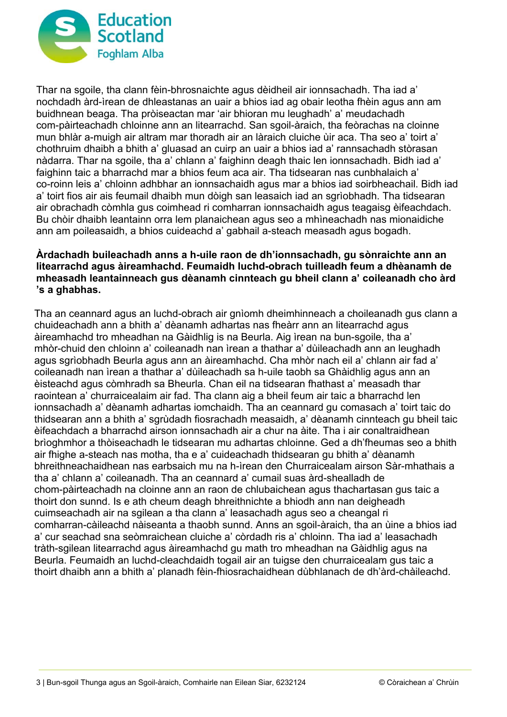

Thar na sgoile, tha clann fèin-bhrosnaichte agus dèidheil air ionnsachadh. Tha iad a' nochdadh àrd-ìrean de dhleastanas an uair a bhios iad ag obair leotha fhèin agus ann am buidhnean beaga. Tha pròiseactan mar 'air bhioran mu leughadh' a' meudachadh com-pàirteachadh chloinne ann an litearrachd. San sgoil-àraich, tha feòrachas na cloinne mun bhlàr a-muigh air altram mar thoradh air an làraich cluiche ùir aca. Tha seo a' toirt a' chothruim dhaibh a bhith a' gluasad an cuirp an uair a bhios iad a' rannsachadh stòrasan nàdarra. Thar na sgoile, tha a' chlann a' faighinn deagh thaic len ionnsachadh. Bidh iad a' faighinn taic a bharrachd mar a bhios feum aca air. Tha tidsearan nas cunbhalaich a' co-roinn leis a' chloinn adhbhar an ionnsachaidh agus mar a bhios iad soirbheachail. Bidh iad a' toirt fios air ais feumail dhaibh mun dòigh san leasaich iad an sgrìobhadh. Tha tidsearan air obrachadh còmhla gus coimhead ri comharran ionnsachaidh agus teagaisg èifeachdach. Bu chòir dhaibh leantainn orra lem planaichean agus seo a mhìneachadh nas mionaidiche ann am poileasaidh, a bhios cuideachd a' gabhail a-steach measadh agus bogadh.

## **Àrdachadh buileachadh anns a h-uile raon de dh'ionnsachadh, gu sònraichte ann an litearrachd agus àireamhachd. Feumaidh luchd-obrach tuilleadh feum a dhèanamh de mheasadh leantainneach gus dèanamh cinnteach gu bheil clann a' coileanadh cho àrd 's a ghabhas.**

Tha an ceannard agus an luchd-obrach air gnìomh dheimhinneach a choileanadh gus clann a chuideachadh ann a bhith a' dèanamh adhartas nas fheàrr ann an litearrachd agus àireamhachd tro mheadhan na Gàidhlig is na Beurla. Aig ìrean na bun-sgoile, tha a' mhòr-chuid den chloinn a' coileanadh nan ìrean a thathar a' dùileachadh ann an leughadh agus sgrìobhadh Beurla agus ann an àireamhachd. Cha mhòr nach eil a' chlann air fad a' coileanadh nan ìrean a thathar a' dùileachadh sa h-uile taobh sa Ghàidhlig agus ann an èisteachd agus còmhradh sa Bheurla. Chan eil na tidsearan fhathast a' measadh thar raointean a' churraicealaim air fad. Tha clann aig a bheil feum air taic a bharrachd len ionnsachadh a' dèanamh adhartas iomchaidh. Tha an ceannard gu comasach a' toirt taic do thidsearan ann a bhith a' sgrùdadh fiosrachadh measaidh, a' dèanamh cinnteach gu bheil taic èifeachdach a bharrachd airson ionnsachadh air a chur na àite. Tha i air conaltraidhean brìoghmhor a thòiseachadh le tidsearan mu adhartas chloinne. Ged a dh'fheumas seo a bhith air fhighe a-steach nas motha, tha e a' cuideachadh thidsearan gu bhith a' dèanamh bhreithneachaidhean nas earbsaich mu na h-ìrean den Churraicealam airson Sàr-mhathais a tha a' chlann a' coileanadh. Tha an ceannard a' cumail suas àrd-shealladh de chom-pàirteachadh na cloinne ann an raon de chlubaichean agus thachartasan gus taic a thoirt don sunnd. Is e ath cheum deagh bhreithnichte a bhiodh ann nan deigheadh cuimseachadh air na sgilean a tha clann a' leasachadh agus seo a cheangal ri comharran-càileachd nàiseanta a thaobh sunnd. Anns an sgoil-àraich, tha an ùine a bhios iad a' cur seachad sna seòmraichean cluiche a' còrdadh ris a' chloinn. Tha iad a' leasachadh tràth-sgilean litearrachd agus àireamhachd gu math tro mheadhan na Gàidhlig agus na Beurla. Feumaidh an luchd-cleachdaidh togail air an tuigse den churraicealam gus taic a thoirt dhaibh ann a bhith a' planadh fèin-fhiosrachaidhean dùbhlanach de dh'àrd-chàileachd.